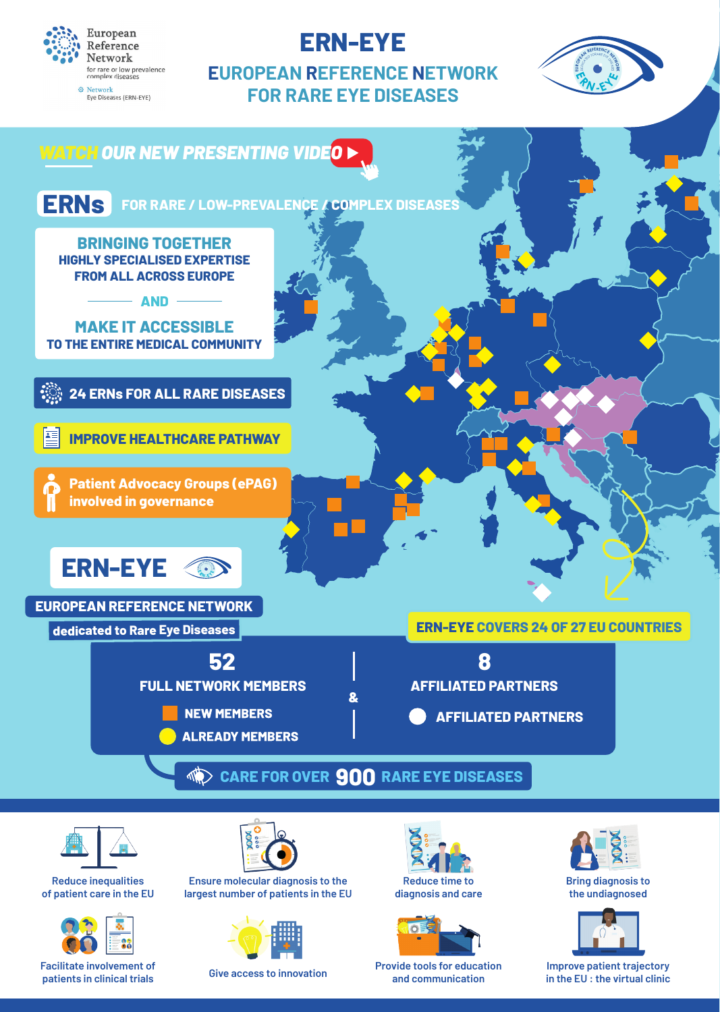

# **ERN-EYE**

**EUROPEAN REFERENCE NETWORK FOR RARE EYE DISEASES**







**Reduce inequalities of patient care in the EU**



**patients in clinical trials**



**Ensure molecular diagnosis to the largest number of patients in the EU**



**Give access to innovation**

**Reduce time to diagnosis and care**



**Provide tools for education and communication**



**Bring diagnosis to the undiagnosed**



**Improve patient trajectory in the EU : the virtual clinic**